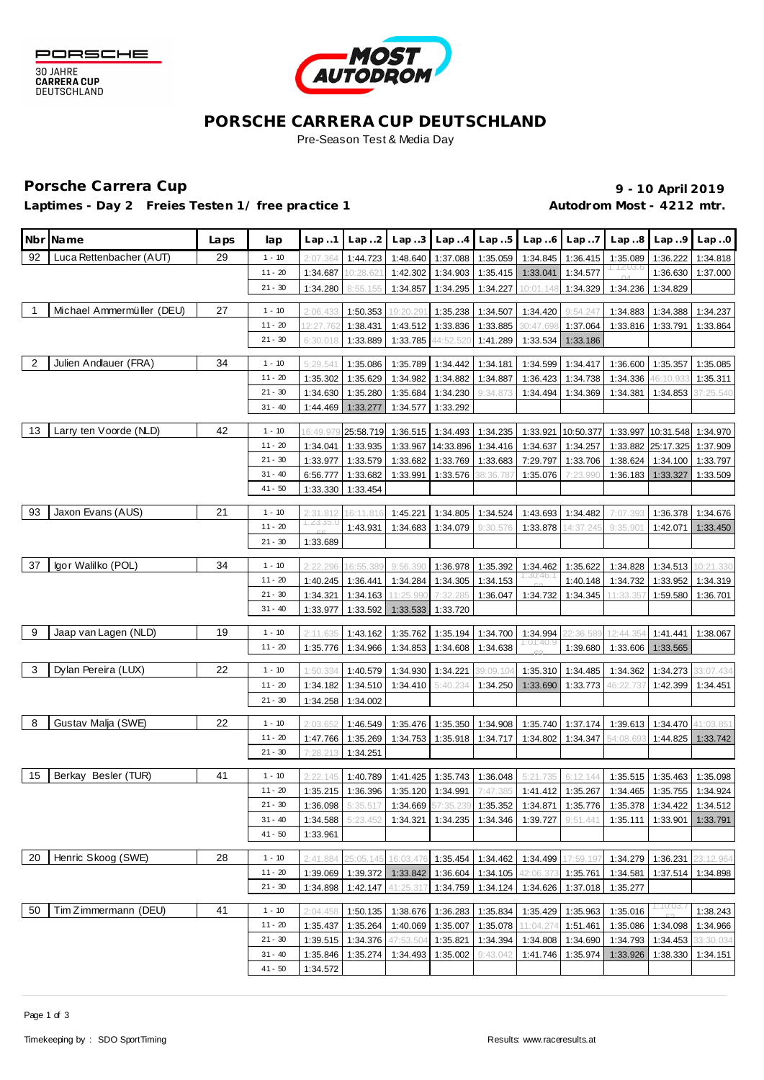



### **PORSCHE CARRERA CUP DEUTSCHLAND** Pre-Season Test & Media Day

# Porsche Carrera Cup **10 April 2019 9 - 10 April 2019**

Laptimes - Day 2 Freies Testen 1/ free practice 1 **Autodrom Most - 4212 mtr.** 

|                | Nbr Name                  | Laps | lap                   | Lap.1                | Lap.2                | Lap.3                                         | Lap.4             | Lap.5                      | Lap.6                                                                              | Lap.7     | Lap.8     | Lap.9              | Lap.0             |
|----------------|---------------------------|------|-----------------------|----------------------|----------------------|-----------------------------------------------|-------------------|----------------------------|------------------------------------------------------------------------------------|-----------|-----------|--------------------|-------------------|
| 92             | Luca Rettenbacher (AUT)   | 29   | $1 - 10$              | 2:07.364             | 1:44.723             | 1:48.640                                      | 1:37.088          | 1:35.059                   | 1:34.845                                                                           | 1:36.415  | 1:35.089  | 1:36.222           | 1:34.818          |
|                |                           |      | $11 - 20$             | 1:34.687             | 10:28.621            | 1:42.302                                      | 1:34.903          | 1:35.415                   | 1:33.041                                                                           | 1:34.577  |           | 1:36.630           | 1:37.000          |
|                |                           |      | $21 - 30$             | 1:34.280             | 8:55.155             | 1:34.857                                      | 1:34.295          | 1:34.227                   | 10:01.148                                                                          | 1:34.329  | 1:34.236  | 1:34.829           |                   |
|                | Michael Ammermüller (DEU) | 27   | $1 - 10$              | 2:06.433             | 1:50.353             | 19:20.29                                      | 1:35.238          | 1:34.507                   | 1:34.420                                                                           | 9:54.247  | 1:34.883  | 1:34.388           | 1:34.237          |
|                |                           |      | $11 - 20$             | 12:27.762            | 1:38.431             | 1:43.512                                      | 1:33.836          | 1:33.885                   | 30:47.69                                                                           | 1:37.064  | 1:33.816  | 1:33.791           | 1:33.864          |
|                |                           |      | $21 - 30$             | 6:30.018             | 1:33.889             | 1:33.785                                      | 44:52.520         | 1:41.289                   | 1:33.534                                                                           | 1:33.186  |           |                    |                   |
| $\overline{2}$ | Julien Andlauer (FRA)     | 34   | $1 - 10$              | 5:29.541             | 1:35.086             | 1:35.789                                      | 1:34.442          | 1:34.181                   | 1:34.599                                                                           | 1:34.417  | 1:36.600  | 1:35.357           | 1:35.085          |
|                |                           |      | $11 - 20$             | 1:35.302             | 1:35.629             | 1:34.982                                      | 1:34.882          | 1:34.887                   | 1:36.423                                                                           | 1:34.738  | 1:34.336  | 46:10.933          | 1:35.311          |
|                |                           |      | $21 - 30$             | 1:34.630             | 1:35.280             | 1:35.684                                      | 1:34.230          | 9:34.873                   | 1:34.494                                                                           | 1:34.369  | 1:34.381  | 1:34.853           | 37:25.540         |
|                |                           |      | $31 - 40$             | 1:44.469             | 1:33.277             | 1:34.577                                      | 1:33.292          |                            |                                                                                    |           |           |                    |                   |
| 13             | Larry ten Voorde (NLD)    | 42   | $1 - 10$              | 6:49.97              | 25:58.719            | 1:36.515                                      | 1:34.493          | 1:34.235                   | 1:33.921                                                                           | 10:50.377 | 1:33.997  | 10:31.548 1:34.970 |                   |
|                |                           |      | $11 - 20$             | 1:34.041             | 1:33.935             | 1:33.967                                      | 14:33.896         | 1:34.416                   | 1:34.637                                                                           | 1:34.257  | 1:33.882  | 25:17.325          | 1:37.909          |
|                |                           |      | $21 - 30$             | 1:33.977             | 1:33.579             | 1:33.682                                      | 1:33.769          | 1:33.683                   | 7:29.797                                                                           | 1:33.706  | 1:38.624  | 1:34.100           | 1:33.797          |
|                |                           |      | $31 - 40$             | 6:56.777             | 1:33.682             | 1:33.991                                      | 1:33.576          | 38:36.787                  | 1:35.076                                                                           | 7:23.990  | 1:36.183  | 1:33.327           | 1:33.509          |
|                |                           |      | $41 - 50$             | 1:33.330             | 1:33.454             |                                               |                   |                            |                                                                                    |           |           |                    |                   |
| 93             | Jaxon Evans (AUS)         | 21   | $1 - 10$              | 2:31.812             | 16:11.816            | 1:45.221                                      | 1:34.805          | 1:34.524                   | 1:43.693                                                                           | 1:34.482  | 7:07.393  | 1:36.378           | 1:34.676          |
|                |                           |      | $11 - 20$             | 1:23:35.0            | 1:43.931             | 1:34.683                                      | 1:34.079          | 9:30.576                   | 1:33.878                                                                           | 14:37.245 | 9:35.90'  | 1:42.071           | 1:33.450          |
|                |                           |      | $21 - 30$             | 1:33.689             |                      |                                               |                   |                            |                                                                                    |           |           |                    |                   |
| 37             | lgor Walilko (POL)        | 34   | $1 - 10$              | 2:22.296             | 16:55.389            | 9:56.390                                      | 1:36.978          | 1:35.392                   | 1:34.462                                                                           | 1:35.622  | 1:34.828  | 1:34.513           | 10:21.330         |
|                |                           |      | $11 - 20$             | 1:40.245             | 1:36.441             | 1:34.284                                      | 1:34.305          | 1:34.153                   | :30:46                                                                             | 1:40.148  | 1:34.732  | 1:33.952           | 1:34.319          |
|                |                           |      | $21 - 30$             | 1:34.321             | 1:34.163             | 11:25.99(                                     | 7:32.285          | 1:36.047                   | 1:34.732                                                                           | 1:34.345  | 11:33.35  | 1:59.580           | 1:36.701          |
|                |                           |      | $31 - 40$             | 1:33.977             | 1:33.592             | 1:33.533                                      | 1:33.720          |                            |                                                                                    |           |           |                    |                   |
| 9              | Jaap van Lagen (NLD)      | 19   | $1 - 10$              | 2:11.635             | 1:43.162             | 1:35.762                                      | 1:35.194          | 1:34.700                   | 1:34.994                                                                           | 2:36.589  | 12:44.35  | 1:41.441           | 1:38.067          |
|                |                           |      | $11 - 20$             | 1:35.776             | 1:34.966             | 1:34.853                                      | 1:34.608          | 1:34.638                   | 1:01:40.9                                                                          | 1:39.680  | 1:33.606  | 1:33.565           |                   |
| 3              | Dylan Pereira (LUX)       | 22   | $1 - 10$              |                      |                      |                                               |                   |                            |                                                                                    |           |           |                    |                   |
|                |                           |      | $11 - 20$             | 1:50.334             | 1:40.579             | 1:34.930                                      | 1:34.221          | 39:09.104                  | 1:35.310                                                                           | 1:34.485  | 1:34.362  | 1:34.273           | 33:07.434         |
|                |                           |      | $21 - 30$             | 1:34.182<br>1:34.258 | 1:34.510<br>1:34.002 | 1:34.410                                      | 5:40.234          | 1:34.250                   | 1:33.690                                                                           | 1:33.773  | 46:22.737 | 1:42.399           | 1:34.451          |
|                | Gustav Malja (SWE)        | 22   |                       |                      |                      |                                               |                   |                            |                                                                                    |           |           |                    |                   |
| 8              |                           |      | $1 - 10$<br>$11 - 20$ | 2:03.652             | 1:46.549             | 1:35.476                                      | 1:35.350          | 1:34.908                   | 1:35.740                                                                           | 1:37.174  | 1:39.613  | 1:34.470           | 41:03.851         |
|                |                           |      | $21 - 30$             | 1:47.766<br>7:28.213 | 1:35.269<br>1:34.251 | 1:34.753                                      | 1:35.918          | 1:34.717                   | 1:34.802                                                                           | 1:34.347  | 54:08.693 | 1:44.825           | 1:33.742          |
|                |                           |      |                       |                      |                      |                                               |                   |                            |                                                                                    |           |           |                    |                   |
| 15             | Berkay Besler (TUR)       | 41   | $1 - 10$              | 2:22.145             | 1:40.789             | 1:41.425                                      | 1:35.743          | 1:36.048                   | 5:21.735                                                                           | 6:12.144  | 1:35.515  | 1:35.463           | 1:35.098          |
|                |                           |      | $11 - 20$             | 1:35.215             | 1:36.396             | 1:35.120                                      | 1:34.991          | 7:47.385                   | 1:41.412                                                                           | 1:35.267  | 1:34.465  | 1:35.755           | 1:34.924          |
|                |                           |      | 21 - 30               | 1:36.098             | 5:35.517             |                                               |                   |                            | 1:34.669 57:35.239 1:35.352   1:34.871   1:35.776   1:35.378   1:34.422   1:34.512 |           |           |                    |                   |
|                |                           |      | $31 - 40$             | 1:34.588             | 5:23.452             | 1:34.321                                      |                   | 1:34.235 1:34.346 1:39.727 |                                                                                    | 9:51.441  | 1:35.111  | 1:33.901 1:33.791  |                   |
|                |                           |      | $41 - 50$             | 1:33.961             |                      |                                               |                   |                            |                                                                                    |           |           |                    |                   |
| 20             | Henric Skoog (SWE)        | 28   | $1 - 10$              | 2:41.884             | 25:05.145            | 16:03.476                                     |                   | 1:35.454 1:34.462          | 1:34.499                                                                           | 17:59.197 | 1:34.279  | 1:36.231           | 23:12.964         |
|                |                           |      | $11 - 20$             | 1:39.069             |                      | 1:39.372 1:33.842 1:36.604 1:34.105 42:06.373 |                   |                            |                                                                                    | 1:35.761  | 1:34.581  |                    | 1:37.514 1:34.898 |
|                |                           |      | $21 - 30$             |                      | 1:34.898 1:42.147    | 41:25.317                                     | 1:34.759          | 1:34.124                   | 1:34.626                                                                           | 1:37.018  | 1:35.277  |                    |                   |
| 50             | Tim Zimmermann (DEU)      | 41   | $1 - 10$              | 2:04.458             |                      | 1:50.135 1:38.676                             | 1:36.283          | 1:35.834                   | 1:35.429                                                                           | 1:35.963  | 1:35.016  | 1 : 1 0: 03.       | 1:38.243          |
|                |                           |      | $11 - 20$             | 1:35.437             | 1:35.264             |                                               | 1:40.069 1:35.007 | 1:35.078                   | 11:04.274                                                                          | 1:51.461  |           | 1:35.086 1:34.098  | 1:34.966          |
|                |                           |      | $21 - 30$             |                      | 1:39.515 1:34.376    | 47:53.504                                     |                   | 1:35.821   1:34.394        | 1:34.808                                                                           | 1:34.690  | 1:34.793  | 1:34.453           | 33:30.034         |
|                |                           |      | $31 - 40$             |                      | 1:35.846 1:35.274    | 1:34.493                                      | 1:35.002          | 9:43.042                   | 1:41.746                                                                           | 1:35.974  | 1:33.926  |                    | 1:38.330 1:34.151 |
|                |                           |      | 41 - 50               | 1:34.572             |                      |                                               |                   |                            |                                                                                    |           |           |                    |                   |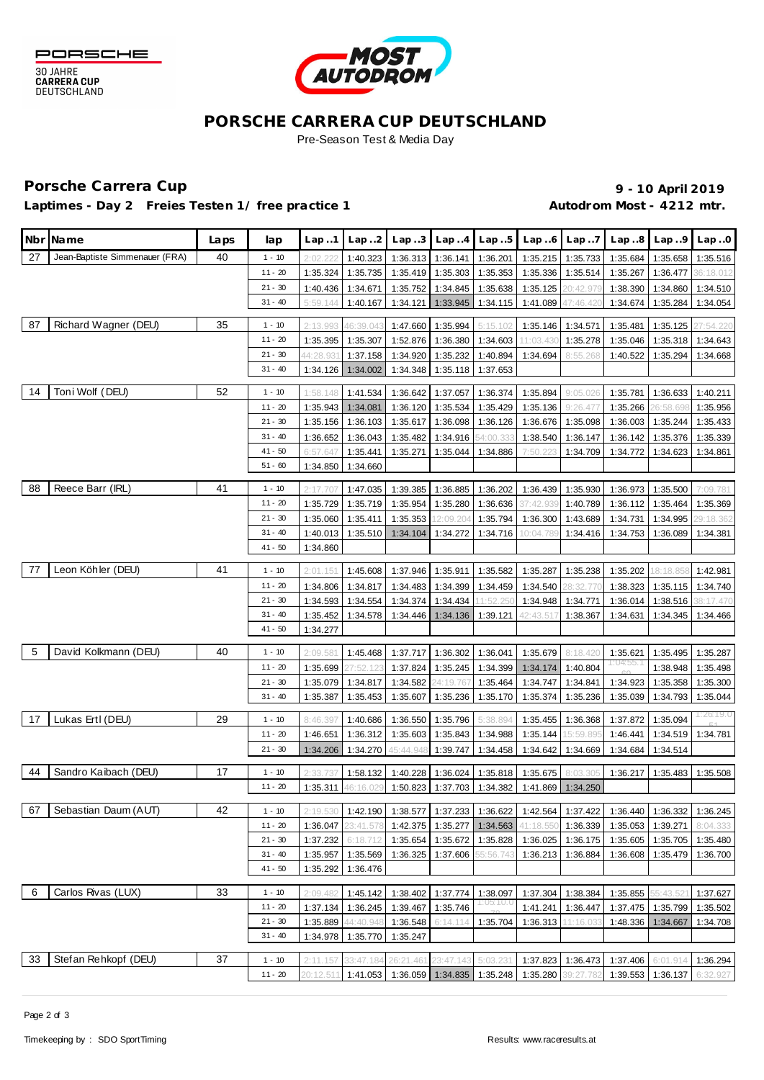



### **PORSCHE CARRERA CUP DEUTSCHLAND** Pre-Season Test & Media Day

# Porsche Carrera Cup **10 April 2019 9 - 10 April 2019**

Laptimes - Day 2 Freies Testen 1/ free practice 1 **Autodrom Most - 4212 mtr.** 

|    | Nbr Name                       | Laps | lap                    | Lap.1                | Lap.2                | Lap.3                | Lap.4                      | Lap.5                | Lap.6                 | Lap.7                | Lap.8                | Lap.9                | Lap.0                |
|----|--------------------------------|------|------------------------|----------------------|----------------------|----------------------|----------------------------|----------------------|-----------------------|----------------------|----------------------|----------------------|----------------------|
| 27 | Jean-Baptiste Simmenauer (FRA) | 40   | $1 - 10$               | 2:02.22              | 1:40.323             | 1:36.313             | 1:36.141                   | 1:36.201             | 1:35.215              | 1:35.733             | 1:35.684             | 1:35.658             | 1:35.516             |
|    |                                |      | $11 - 20$              | 1:35.324             | 1:35.735             | 1:35.419             | 1:35.303                   | 1:35.353             | 1:35.336              | 1:35.514             | 1:35.267             | 1:36.477             | 36:18.012            |
|    |                                |      | $21 - 30$              | 1:40.436             | 1:34.671             | 1:35.752             | 1:34.845                   | 1:35.638             | 1:35.125              | 20:42.979            | 1:38.390             | 1:34.860             | 1:34.510             |
|    |                                |      | $31 - 40$              | 5:59.144             | 1:40.167             | 1:34.121             | 1:33.945                   | 1:34.115             | 1:41.089              | $-7:46.42$           | 1:34.674             | 1:35.284             | 1:34.054             |
|    |                                |      |                        |                      |                      |                      |                            |                      |                       |                      |                      |                      |                      |
| 87 | Richard Wagner (DEU)           | 35   | $1 - 10$               | 2:13.993             | 46:39.043            | 1:47.660             | 1:35.994                   | 5:15.102             | 1:35.146              | 1:34.571             | 1:35.481             | 1:35.125             | 27:54.220            |
|    |                                |      | $11 - 20$<br>$21 - 30$ | 1:35.395             | 1:35.307             | 1:52.876             | 1:36.380                   | 1:34.603             | 11:03.430             | 1:35.278             | 1:35.046             | 1:35.318             | 1:34.643             |
|    |                                |      | $31 - 40$              | 44:28.93             | 1:37.158<br>1:34.002 | 1:34.920<br>1:34.348 | 1:35.232<br>1:35.118       | 1:40.894<br>1:37.653 | 1:34.694              | 8:55.268             | 1:40.522             | 1:35.294             | 1:34.668             |
|    |                                |      |                        | 1:34.126             |                      |                      |                            |                      |                       |                      |                      |                      |                      |
| 14 | Toni Wolf (DEU)                | 52   | $1 - 10$               | 1:58.148             | 1:41.534             | 1:36.642             | 1:37.057                   | 1:36.374             | 1:35.894              | 9:05.026             | 1:35.781             | 1:36.633             | 1:40.211             |
|    |                                |      | $11 - 20$              | 1:35.943             | 1:34.081             | 1:36.120             | 1:35.534                   | 1:35.429             | 1:35.136              | 9:26.47              | 1:35.266             | 26:58.698            | 1:35.956             |
|    |                                |      | $21 - 30$              | 1:35.156             | 1:36.103             | 1:35.617             | 1:36.098                   | 1:36.126             | 1:36.676              | 1:35.098             | 1:36.003             | 1:35.244             | 1:35.433             |
|    |                                |      | $31 - 40$              | 1:36.652             | 1:36.043             | 1:35.482             | 1:34.916                   | 54:00.33             | 1:38.540              | 1:36.147             | 1:36.142             | 1:35.376             | 1:35.339             |
|    |                                |      | $41 - 50$              | 6:57.647             | 1:35.441             | 1:35.271             | 1:35.044                   | 1:34.886             | 7:50.223              | 1:34.709             | 1:34.772             | 1:34.623             | 1:34.861             |
|    |                                |      | $51 - 60$              | 1:34.850             | 1:34.660             |                      |                            |                      |                       |                      |                      |                      |                      |
| 88 | Reece Barr (IRL)               | 41   | $1 - 10$               | 2:17.707             | 1:47.035             | 1:39.385             | 1:36.885                   | 1:36.202             | 1:36.439              | 1:35.930             | 1:36.973             | 1:35.500             | 7:09.781             |
|    |                                |      | $11 - 20$              | 1:35.729             | 1:35.719             | 1:35.954             | 1:35.280                   | 1:36.636             | 37:42.939             | 1:40.789             | 1:36.112             | 1:35.464             | 1:35.369             |
|    |                                |      | $21 - 30$              | 1:35.060             | 1:35.411             | 1:35.353             | 2:09.204                   | 1:35.794             | 1:36.300              | 1:43.689             | 1:34.731             | 1:34.995             | 29:18.362            |
|    |                                |      | $31 - 40$              | 1:40.013             | 1:35.510             | 1:34.104             | 1:34.272                   | 1:34.716             | 10:04.789             | 1:34.416             | 1:34.753             | 1:36.089             | 1:34.381             |
|    |                                |      | $41 - 50$              | 1:34.860             |                      |                      |                            |                      |                       |                      |                      |                      |                      |
| 77 | Leon Köhler (DEU)              | 41   |                        |                      |                      |                      |                            |                      |                       |                      |                      |                      |                      |
|    |                                |      | $1 - 10$               | 2:01.151             | 1:45.608             | 1:37.946             | 1:35.911                   | 1:35.582             | 1:35.287              | 1:35.238             | 1:35.202             | 18:18.858            | 1:42.981             |
|    |                                |      | $11 - 20$<br>$21 - 30$ | 1:34.806             | 1:34.817             | 1:34.483             | 1:34.399                   | 1:34.459             | 1:34.540              | 8:32.77              | 1:38.323             | 1:35.115             | 1:34.740             |
|    |                                |      | $31 - 40$              | 1:34.593<br>1:35.452 | 1:34.554<br>1:34.578 | 1:34.374<br>1:34.446 | 1:34.434<br>1:34.136       | 11:52.25             | 1:34.948<br>42:43.517 | 1:34.771             | 1:36.014<br>1:34.631 | 1:38.516<br>1:34.345 | 38:17.470            |
|    |                                |      | $41 - 50$              | 1:34.277             |                      |                      |                            | 1:39.121             |                       | 1:38.367             |                      |                      | 1:34.466             |
|    |                                |      |                        |                      |                      |                      |                            |                      |                       |                      |                      |                      |                      |
| 5  | David Kolkmann (DEU)           | 40   | $1 - 10$               | 2:09.581             | 1:45.468             | 1:37.717             | 1:36.302                   | 1:36.041             | 1:35.679              | 8:18.420             | 1:35.621             | 1:35.495             | 1:35.287             |
|    |                                |      | $11 - 20$              | 1:35.699             | 27:52.123            | 1:37.824             | 1:35.245                   | 1:34.399             | 1:34.174              | 1:40.804             | :U4:55.              | 1:38.948             | 1:35.498             |
|    |                                |      | $21 - 30$              | 1:35.079             | 1:34.817             | 1:34.582             | 4:19.767                   | 1:35.464             | 1:34.747              | 1:34.841             | 1:34.923             | 1:35.358             | 1:35.300             |
|    |                                |      | $31 - 40$              | 1:35.387             | 1:35.453             | 1:35.607             | 1:35.236                   | 1:35.170             | 1:35.374              | 1:35.236             | 1:35.039             | 1:34.793             | 1:35.044             |
| 17 | Lukas Ertl (DEU)               | 29   | $1 - 10$               | 8:46.397             | 1:40.686             | 1:36.550             | 1:35.796                   | 5:38.894             | 1:35.455              | 1:36.368             | 1:37.872             | 1:35.094             | I : 26:19.0          |
|    |                                |      | $11 - 20$              | 1:46.651             | 1:36.312             | 1:35.603             | 1:35.843                   | 1:34.988             | 1:35.144              | 15:59.895            | 1:46.441             | 1:34.519             | 1:34.781             |
|    |                                |      | $21 - 30$              | 1:34.206             | 1:34.270             | 45:44.948            | 1:39.747                   | 1:34.458             | 1:34.642              | 1:34.669             | 1:34.684             | 1:34.514             |                      |
|    |                                |      |                        |                      |                      |                      |                            |                      |                       |                      |                      |                      |                      |
| 44 | Sandro Kaibach (DEU)           | 17   | $1 - 10$               | 2:33.737             | 1:58.132             | 1:40.228             | 1:36.024                   | 1:35.818             | 1:35.675              | 8:03.305             | 1:36.217             | 1:35.483             | 1:35.508             |
|    |                                |      | $11 - 20$              | 1:35.311             | 46:16.029            | 1:50.823             | 1:37.703                   | 1:34.382             | 1:41.869              | 1:34.250             |                      |                      |                      |
| 67 | Sebastian Daum (AUT)           | 42   | $1 - 10$               | 2:19.530             | 1:42.190             |                      | 1:38.577 1:37.233 1:36.622 |                      |                       | 1:42.564 1:37.422    |                      | 1:36.440 1:36.332    | 1:36.245             |
|    |                                |      | $11 - 20$              | 1:36.047             | 23:41.578            | 1:42.375             |                            | 1:35.277 1:34.563    | 41:18.550             | 1:36.339             | 1:35.053             | 1:39.271             | 8:04.333             |
|    |                                |      | $21 - 30$              | 1:37.232             | 6:18.712             | 1:35.654             |                            | 1:35.672 1:35.828    | 1:36.025              |                      | 1:36.175 1:35.605    | 1:35.705             | 1:35.480             |
|    |                                |      | $31 - 40$              | 1:35.957             | 1:35.569             | 1:36.325             | 1:37.606 55:56.743         |                      | 1:36.213              | 1:36.884             | 1:36.608             | 1:35.479             | 1:36.700             |
|    |                                |      | $41 - 50$              | 1:35.292             | 1:36.476             |                      |                            |                      |                       |                      |                      |                      |                      |
| 6  | Carlos Rivas (LUX)             | 33   | $1 - 10$               | 2:09.482             |                      | 1:38.402             |                            | 1:38.097             |                       |                      |                      |                      |                      |
|    |                                |      | $11 - 20$              | 1:37.134             | 1:45.142<br>1:36.245 | 1:39.467             | 1:37.774<br>1:35.746       | 1105110.0            | 1:37.304<br>1:41.241  | 1:38.384<br>1:36.447 | 1:35.855<br>1:37.475 | 55:43.52<br>1:35.799 | 1:37.627<br>1:35.502 |
|    |                                |      | $21 - 30$              | 1:35.889             | 44:40.948            | 1:36.548             | 6:14.114                   | 1:35.704             | 1:36.313              | 11:16.033            | 1:48.336             | 1:34.667             | 1:34.708             |
|    |                                |      | $31 - 40$              | 1:34.978             | 1:35.770             | 1:35.247             |                            |                      |                       |                      |                      |                      |                      |
|    |                                |      |                        |                      |                      |                      |                            |                      |                       |                      |                      |                      |                      |
| 33 | Stefan Rehkopf (DEU)           | 37   | $1 - 10$               | 2:11.157             | 33:47.184            | 26:21.461            | 23:47.143                  | 5:03.231             | 1:37.823              | 1:36.473             | 1:37.406             | 6:01.914             | 1:36.294             |
|    |                                |      | $11 - 20$              | 20:12.511            | 1:41.053             |                      | 1:36.059 1:34.835 1:35.248 |                      | 1:35.280              | 39:27.782            | 1:39.553             | 1:36.137             | 6:32.927             |